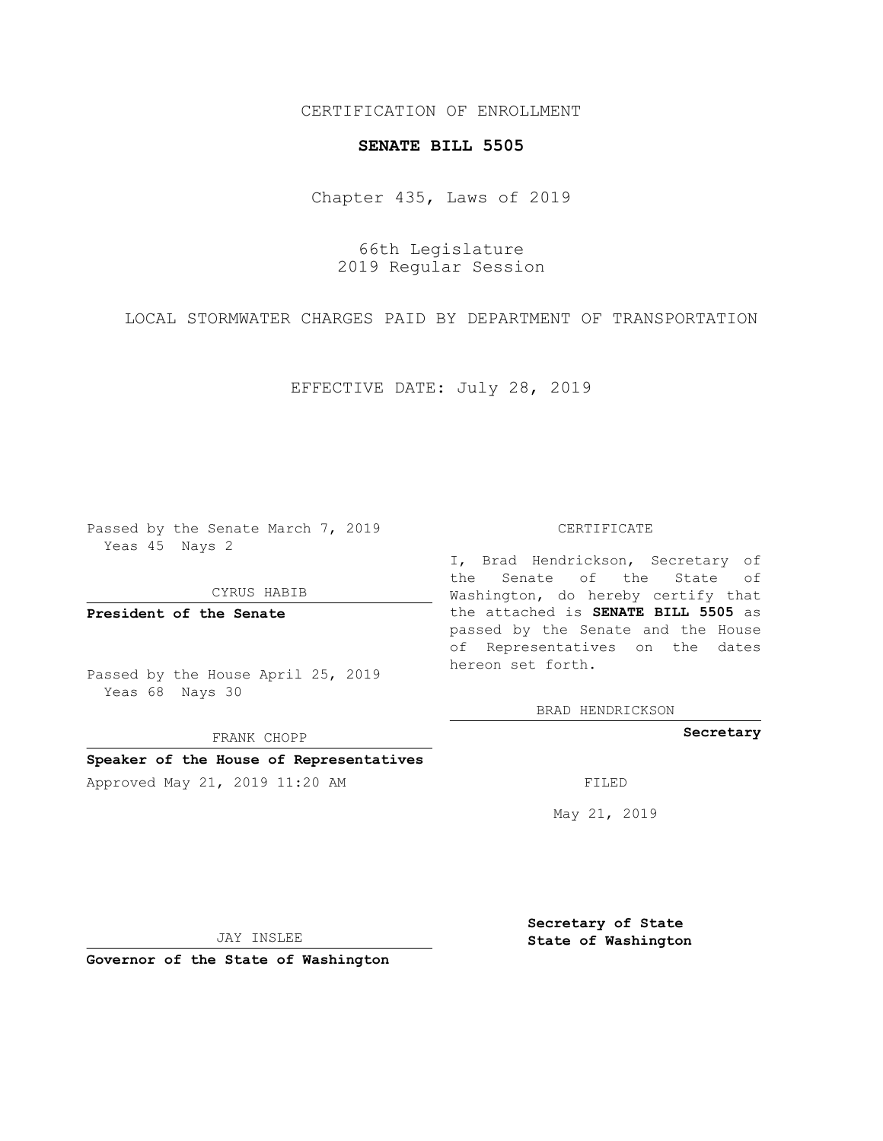## CERTIFICATION OF ENROLLMENT

### **SENATE BILL 5505**

Chapter 435, Laws of 2019

66th Legislature 2019 Regular Session

LOCAL STORMWATER CHARGES PAID BY DEPARTMENT OF TRANSPORTATION

EFFECTIVE DATE: July 28, 2019

Passed by the Senate March 7, 2019 Yeas 45 Nays 2

CYRUS HABIB

**President of the Senate**

Passed by the House April 25, 2019 Yeas 68 Nays 30

FRANK CHOPP

### **Speaker of the House of Representatives**

Approved May 21, 2019 11:20 AM FILED

#### CERTIFICATE

I, Brad Hendrickson, Secretary of the Senate of the State of Washington, do hereby certify that the attached is **SENATE BILL 5505** as passed by the Senate and the House of Representatives on the dates hereon set forth.

BRAD HENDRICKSON

**Secretary**

May 21, 2019

JAY INSLEE

**Governor of the State of Washington**

**Secretary of State State of Washington**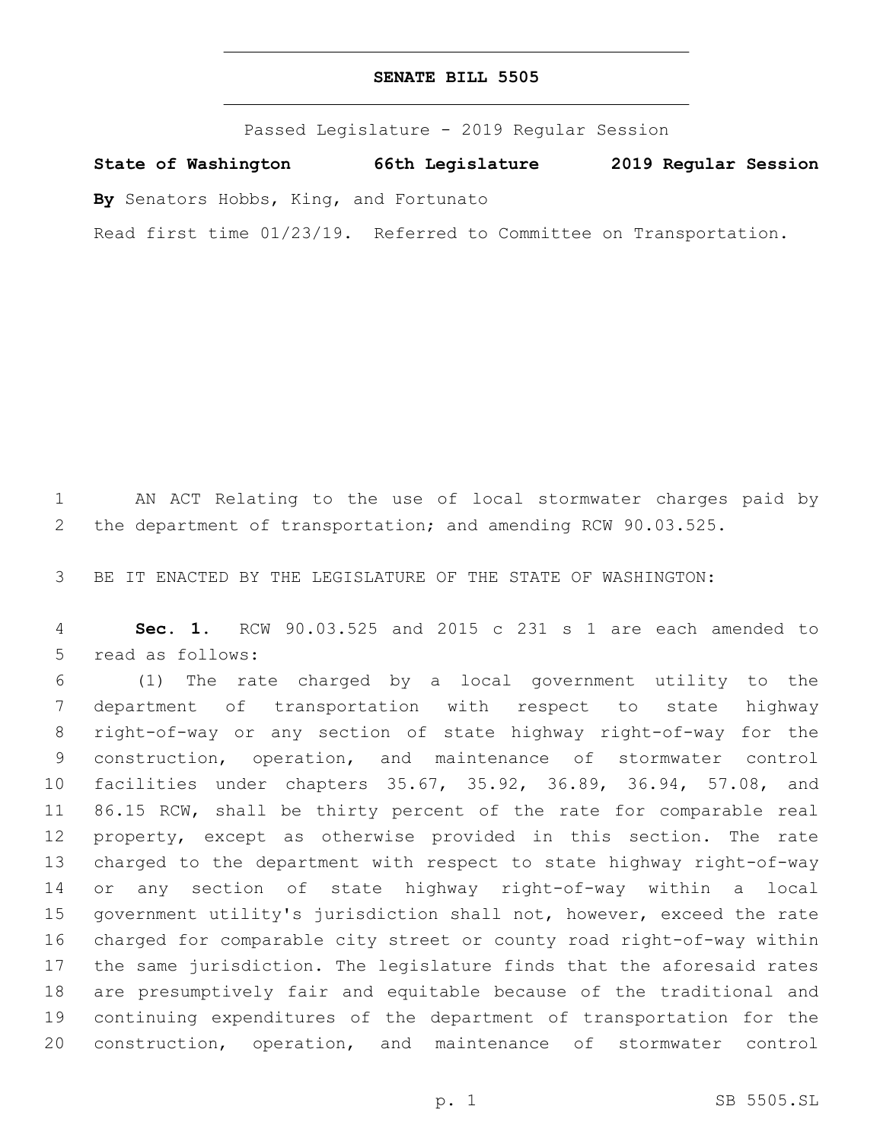# **SENATE BILL 5505**

Passed Legislature - 2019 Regular Session

**State of Washington 66th Legislature 2019 Regular Session**

**By** Senators Hobbs, King, and Fortunato

Read first time 01/23/19. Referred to Committee on Transportation.

 AN ACT Relating to the use of local stormwater charges paid by the department of transportation; and amending RCW 90.03.525.

BE IT ENACTED BY THE LEGISLATURE OF THE STATE OF WASHINGTON:

 **Sec. 1.** RCW 90.03.525 and 2015 c 231 s 1 are each amended to 5 read as follows:

 (1) The rate charged by a local government utility to the department of transportation with respect to state highway right-of-way or any section of state highway right-of-way for the construction, operation, and maintenance of stormwater control facilities under chapters 35.67, 35.92, 36.89, 36.94, 57.08, and 86.15 RCW, shall be thirty percent of the rate for comparable real property, except as otherwise provided in this section. The rate charged to the department with respect to state highway right-of-way or any section of state highway right-of-way within a local government utility's jurisdiction shall not, however, exceed the rate charged for comparable city street or county road right-of-way within the same jurisdiction. The legislature finds that the aforesaid rates are presumptively fair and equitable because of the traditional and continuing expenditures of the department of transportation for the construction, operation, and maintenance of stormwater control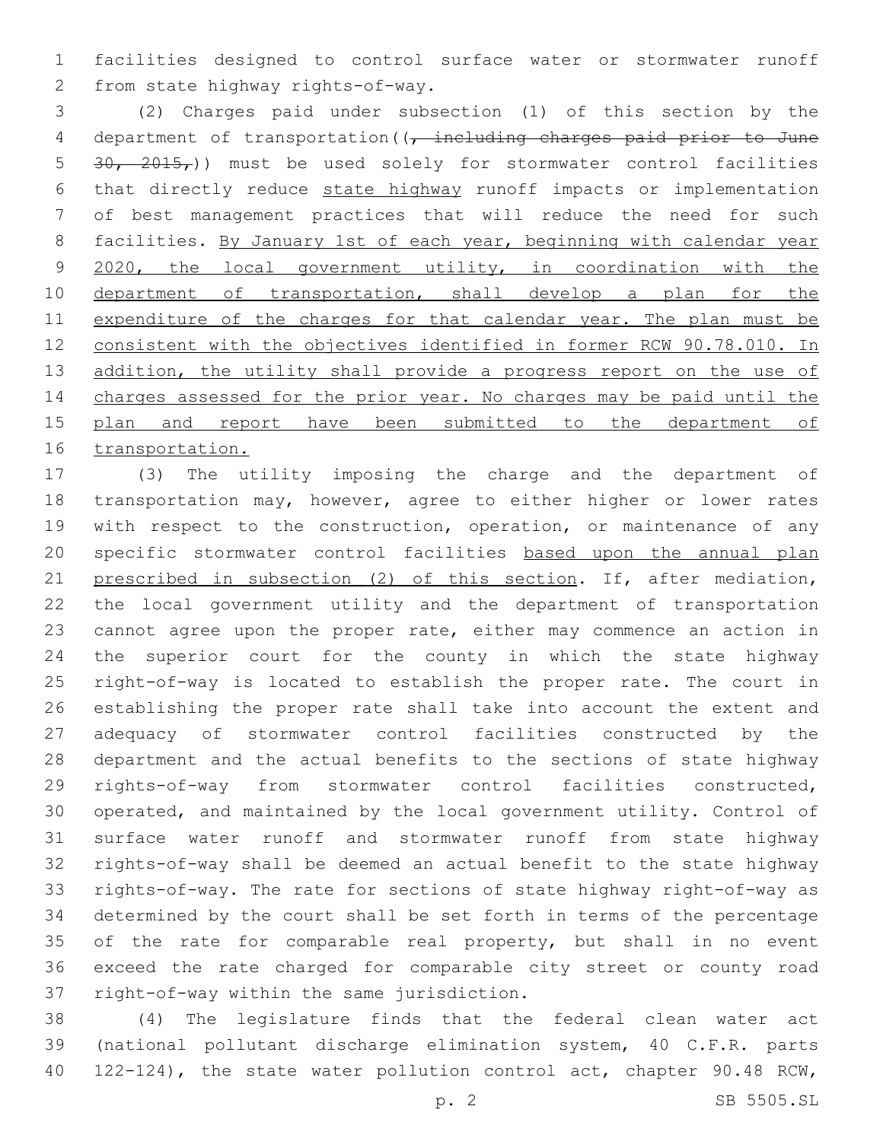facilities designed to control surface water or stormwater runoff 2 from state highway rights-of-way.

 (2) Charges paid under subsection (1) of this section by the 4 department of transportation( $\sqrt{t}$  including charges paid prior to June 5  $30, 2015,$ )) must be used solely for stormwater control facilities that directly reduce state highway runoff impacts or implementation of best management practices that will reduce the need for such 8 facilities. By January 1st of each year, beginning with calendar year 9 2020, the local government utility, in coordination with the 10 department of transportation, shall develop a plan for the 11 expenditure of the charges for that calendar year. The plan must be consistent with the objectives identified in former RCW 90.78.010. In 13 addition, the utility shall provide a progress report on the use of charges assessed for the prior year. No charges may be paid until the plan and report have been submitted to the department of transportation.

 (3) The utility imposing the charge and the department of transportation may, however, agree to either higher or lower rates 19 with respect to the construction, operation, or maintenance of any specific stormwater control facilities based upon the annual plan 21 prescribed in subsection (2) of this section. If, after mediation, the local government utility and the department of transportation cannot agree upon the proper rate, either may commence an action in the superior court for the county in which the state highway right-of-way is located to establish the proper rate. The court in establishing the proper rate shall take into account the extent and adequacy of stormwater control facilities constructed by the department and the actual benefits to the sections of state highway rights-of-way from stormwater control facilities constructed, operated, and maintained by the local government utility. Control of surface water runoff and stormwater runoff from state highway rights-of-way shall be deemed an actual benefit to the state highway rights-of-way. The rate for sections of state highway right-of-way as determined by the court shall be set forth in terms of the percentage 35 of the rate for comparable real property, but shall in no event exceed the rate charged for comparable city street or county road 37 right-of-way within the same jurisdiction.

 (4) The legislature finds that the federal clean water act (national pollutant discharge elimination system, 40 C.F.R. parts 122-124), the state water pollution control act, chapter 90.48 RCW,